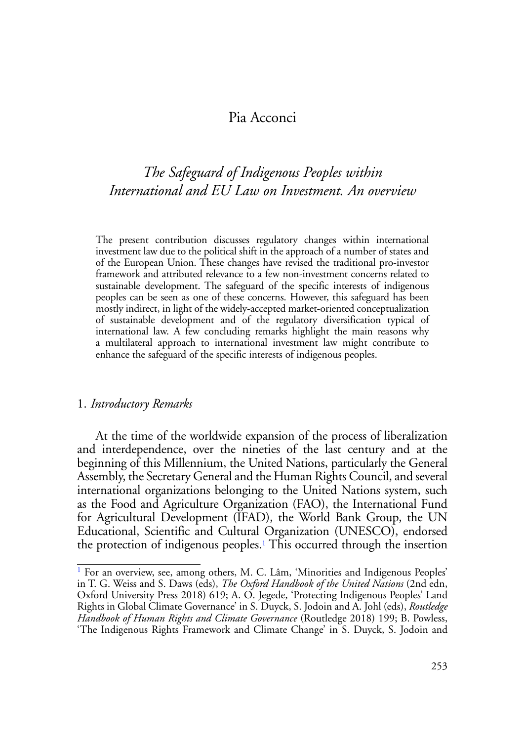# Pia Acconci

# *The Safeguard of Indigenous Peoples within International and EU Law on Investment. An overview*

The present contribution discusses regulatory changes within international investment law due to the political shift in the approach of a number of states and of the European Union. These changes have revised the traditional pro-investor framework and attributed relevance to a few non-investment concerns related to sustainable development. The safeguard of the specific interests of indigenous peoples can be seen as one of these concerns. However, this safeguard has been mostly indirect, in light of the widely-accepted market-oriented conceptualization of sustainable development and of the regulatory diversification typical of international law. A few concluding remarks highlight the main reasons why a multilateral approach to international investment law might contribute to enhance the safeguard of the specific interests of indigenous peoples.

#### 1. *Introductory Remarks*

At the time of the worldwide expansion of the process of liberalization and interdependence, over the nineties of the last century and at the beginning of this Millennium, the United Nations, particularly the General Assembly, the Secretary General and the Human Rights Council, and several international organizations belonging to the United Nations system, such as the Food and Agriculture Organization (FAO), the International Fund for Agricultural Development (IFAD), the World Bank Group, the UN Educational, Scientific and Cultural Organization (UNESCO), endorsed the protection of indigenous peoples.[1](#page-0-0) This occurred through the insertion

<span id="page-0-1"></span><span id="page-0-0"></span><sup>&</sup>lt;sup>[1](#page-0-1)</sup> For an overview, see, among others, M. C. Lâm, 'Minorities and Indigenous Peoples' in T. G. Weiss and S. Daws (eds), *The Oxford Handbook of the United Nations* (2nd edn, Oxford University Press 2018) 619; A. O. Jegede, 'Protecting Indigenous Peoples' Land Rights in Global Climate Governance' in S. Duyck, S. Jodoin and A. Johl (eds), *Routledge Handbook of Human Rights and Climate Governance* (Routledge 2018) 199; B. Powless, 'The Indigenous Rights Framework and Climate Change' in S. Duyck, S. Jodoin and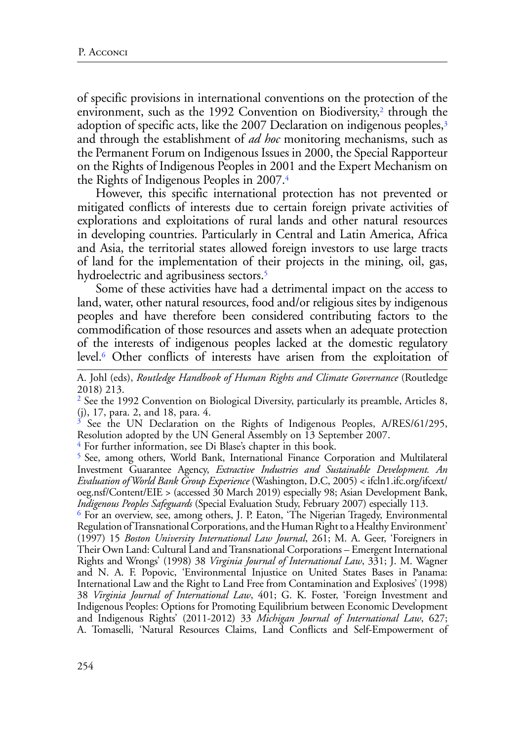<span id="page-1-6"></span><span id="page-1-5"></span>of specific provisions in international conventions on the protection of the environment, such as the 199[2](#page-1-0) Convention on Biodiversity, $2$  through the adoption of specific acts, like the 2007 Declaration on indigenous peoples,<sup>[3](#page-1-1)</sup> and through the establishment of *ad hoc* monitoring mechanisms, such as the Permanent Forum on Indigenous Issues in 2000, the Special Rapporteur on the Rights of Indigenous Peoples in 2001 and the Expert Mechanism on the Rights of Indigenous Peoples in 2007.[4](#page-1-2)

<span id="page-1-7"></span>However, this specific international protection has not prevented or mitigated conflicts of interests due to certain foreign private activities of explorations and exploitations of rural lands and other natural resources in developing countries. Particularly in Central and Latin America, Africa and Asia, the territorial states allowed foreign investors to use large tracts of land for the implementation of their projects in the mining, oil, gas, hydroelectric and agribusiness sectors.<sup>5</sup>

<span id="page-1-8"></span>Some of these activities have had a detrimental impact on the access to land, water, other natural resources, food and/or religious sites by indigenous peoples and have therefore been considered contributing factors to the commodification of those resources and assets when an adequate protection of the interests of indigenous peoples lacked at the domestic regulatory level[.6](#page-1-4) Other conflicts of interests have arisen from the exploitation of

<span id="page-1-9"></span>A. Johl (eds), *Routledge Handbook of Human Rights and Climate Governance* (Routledge 2018) 213.

<span id="page-1-0"></span><sup>[2](#page-1-5)</sup> See the 1992 Convention on Biological Diversity, particularly its preamble, Articles 8, (j), 17, para. 2, and 18, para. 4.

<span id="page-1-1"></span>See the UN Declaration on the Rights of Indigenous Peoples, A/RES/61/295, Resolution adopted by the UN General Assembly on 13 September 2007. [4](#page-1-7) For further information, see Di Blase's chapter in this book.

<span id="page-1-2"></span>

<span id="page-1-3"></span>[5](#page-1-8) See, among others, World Bank, International Finance Corporation and Multilateral Investment Guarantee Agency, *Extractive Industries and Sustainable Development. An Evaluation of World Bank Group Experience* (Washington, D.C, 2005) < [ifcln1.ifc.org/ifcext/](http://ifcln1.ifc.org/ifcext/oeg.nsf/Content/EIE)) [oeg.nsf/Content/EIE](http://ifcln1.ifc.org/ifcext/oeg.nsf/Content/EIE)) > (accessed 30 March 2019) especially 98; Asian Development Bank, *Indigenous Peoples Safeguards* (Special Evaluation Study, February 2007) especially 113.

<span id="page-1-4"></span>[6](#page-1-9) For an overview, see, among others, J. P. Eaton, 'The Nigerian Tragedy, Environmental Regulation of Transnational Corporations, and the Human Right to a Healthy Environment' (1997) 15 *Boston University International Law Journal*, 261; M. A. Geer, 'Foreigners in Their Own Land: Cultural Land and Transnational Corporations – Emergent International Rights and Wrongs' (1998) 38 *Virginia Journal of International Law*, 331; J. M. Wagner and N. A. F. Popovic, 'Environmental Injustice on United States Bases in Panama: International Law and the Right to Land Free from Contamination and Explosives' (1998) 38 *Virginia Journal of International Law*, 401; G. K. Foster, 'Foreign Investment and Indigenous Peoples: Options for Promoting Equilibrium between Economic Development and Indigenous Rights' (2011-2012) 33 *Michigan Journal of International Law*, 627; A. Tomaselli, 'Natural Resources Claims, Land Conflicts and Self-Empowerment of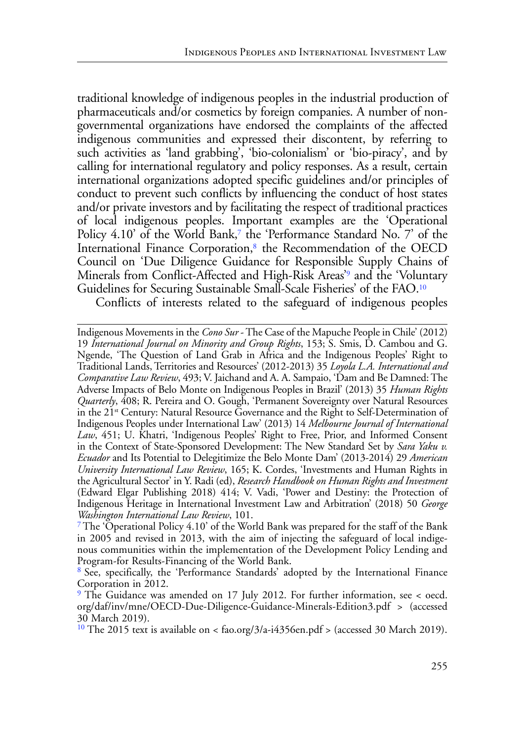traditional knowledge of indigenous peoples in the industrial production of pharmaceuticals and/or cosmetics by foreign companies. A number of nongovernmental organizations have endorsed the complaints of the affected indigenous communities and expressed their discontent, by referring to such activities as 'land grabbing', 'bio-colonialism' or 'bio-piracy', and by calling for international regulatory and policy responses. As a result, certain international organizations adopted specific guidelines and/or principles of conduct to prevent such conflicts by influencing the conduct of host states and/or private investors and by facilitating the respect of traditional practices of local indigenous peoples. Important examples are the 'Operational Policy  $4.10'$  of the World Bank,<sup>7</sup> the 'Performance Standard No. 7' of the International Finance Corporation,<sup>8</sup> the Recommendation of the OECD Council on 'Due Diligence Guidance for Responsible Supply Chains of Minerals from Conflict-Affected and High-Risk Areas['9](#page-2-2) and the 'Voluntary Guidelines for Securing Sustainable Small-Scale Fisheries' of the FAO.[10](#page-2-3)

<span id="page-2-7"></span><span id="page-2-6"></span><span id="page-2-5"></span><span id="page-2-4"></span>Conflicts of interests related to the safeguard of indigenous peoples

Indigenous Movements in the *Cono Sur* - The Case of the Mapuche People in Chile' (2012) 19 *International Journal on Minority and Group Rights*, 153; S. Smis, D. Cambou and G. Ngende, 'The Question of Land Grab in Africa and the Indigenous Peoples' Right to Traditional Lands, Territories and Resources' (2012-2013) 35 *Loyola L.A. International and Comparative Law Review*, 493; V. Jaichand and A. A. Sampaio, 'Dam and Be Damned: The Adverse Impacts of Belo Monte on Indigenous Peoples in Brazil' (2013) 35 *Human Rights Quarterly*, 408; R. Pereira and O. Gough, 'Permanent Sovereignty over Natural Resources in the 21<sup>st</sup> Century: Natural Resource Governance and the Right to Self-Determination of Indigenous Peoples under International Law' (2013) 14 *Melbourne Journal of International Law*, 451; U. Khatri, 'Indigenous Peoples' Right to Free, Prior, and Informed Consent in the Context of State-Sponsored Development: The New Standard Set by *Sara Yaku v. Ecuador* and Its Potential to Delegitimize the Belo Monte Dam' (2013-2014) 29 *American University International Law Review*, 165; [K. Cordes](https://www.elgaronline.com/search?f_0=author&q_0=Kaitlin+Cordes), 'Investments and Human Rights in the Agricultural Sector' in Y. Radi (ed), *[Research Handbook on Human Rights and Investment](https://www.elgaronline.com/view/edcoll/9781782549116/9781782549116.xml)* (Edward Elgar Publishing 2018) 414; V. Vadi, 'Power and Destiny: the Protection of Indigenous Heritage in International Investment Law and Arbitration' (2018) 50 *George Washington International Law Review*, 101.

<span id="page-2-0"></span><sup>&</sup>lt;sup>[7](#page-2-4)</sup> The 'Operational Policy 4.10' of the World Bank was prepared for the staff of the Bank in 2005 and revised in 2013, with the aim of injecting the safeguard of local indigenous communities within the implementation of the Development Policy Lending and Program-for Results-Financing of the World Bank.

<span id="page-2-1"></span>[<sup>8</sup>](#page-2-5) See, specifically, the 'Performance Standards' adopted by the International Finance Corporation in 2012.

<span id="page-2-2"></span>[<sup>9</sup>](#page-2-6) The Guidance was amended on 17 July 2012. For further information, see < [oecd.](http://www.oecd.org/daf/inv/mne/OECD-Due-Diligence-Guidance-Minerals-Edition3.pdf) [org/daf/inv/mne/OECD-Due-Diligence-Guidance-Minerals-Edition3.pdf](http://www.oecd.org/daf/inv/mne/OECD-Due-Diligence-Guidance-Minerals-Edition3.pdf) > (accessed

<span id="page-2-3"></span><sup>30</sup> March 2019).<br><sup>10</sup> The 2015 text is available on < fao.org/3/a-i4356en.pdf > (accessed 30 March 2019).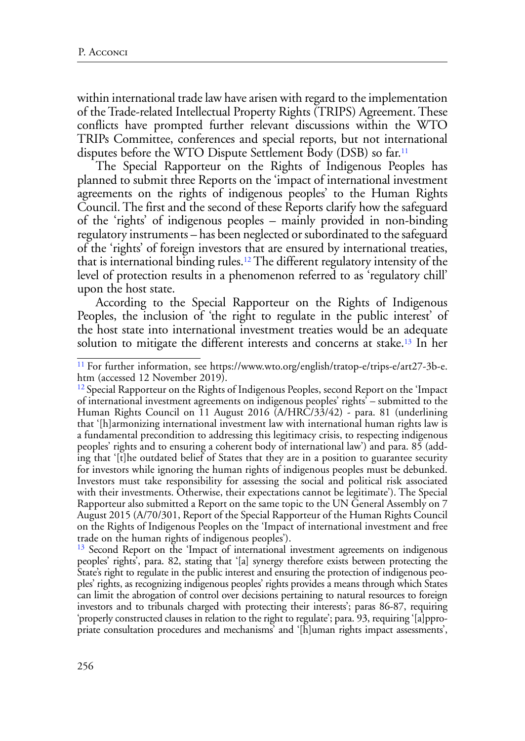within international trade law have arisen with regard to the implementation of the Trade-related Intellectual Property Rights (TRIPS) Agreement. These conflicts have prompted further relevant discussions within the WTO TRIPs Committee, conferences and special reports, but not international disputes before the WTO Dispute Settlement Body (DSB) so far.<sup>11</sup>

<span id="page-3-3"></span>The Special Rapporteur on the Rights of Indigenous Peoples has planned to submit three Reports on the 'impact of international investment agreements on the rights of indigenous peoples' to the Human Rights Council. The first and the second of these Reports clarify how the safeguard of the 'rights' of indigenous peoples – mainly provided in non-binding regulatory instruments – has been neglected or subordinated to the safeguard of the 'rights' of foreign investors that are ensured by international treaties, that is international binding rules.[12](#page-3-1) The different regulatory intensity of the level of protection results in a phenomenon referred to as 'regulatory chill' upon the host state.

<span id="page-3-4"></span>According to the Special Rapporteur on the Rights of Indigenous Peoples, the inclusion of 'the right to regulate in the public interest' of the host state into international investment treaties would be an adequate solution to mitigate the different interests and concerns at stake[.13](#page-3-2) In her

<span id="page-3-2"></span><sup>13</sup> Second Report on the 'Impact of international investment agreements on indigenous peoples' rights', para. 82, stating that '[a] synergy therefore exists between protecting the State's right to regulate in the public interest and ensuring the protection of indigenous peoples' rights, as recognizing indigenous peoples' rights provides a means through which States can limit the abrogation of control over decisions pertaining to natural resources to foreign investors and to tribunals charged with protecting their interests'; paras 86-87, requiring 'properly constructed clauses in relation to the right to regulate'; para. 93, requiring '[a]ppropriate consultation procedures and mechanisms' and '[h]uman rights impact assessments',

<span id="page-3-5"></span><span id="page-3-0"></span><sup>&</sup>lt;sup>11</sup> For further information, see https://www.wto.org/english/tratop-e/trips-e/art27-3b-e. htm (accessed 12 November 2019).

<span id="page-3-1"></span><sup>&</sup>lt;sup>[12](#page-3-4)</sup> Special Rapporteur on the Rights of Indigenous Peoples, second Report on the 'Impact' of international investment agreements on indigenous peoples' rights' – submitted to the Human Rights Council on 11 August 2016 (A/HRC/33/42) - para. 81 (underlining that '[h]armonizing international investment law with international human rights law is a fundamental precondition to addressing this legitimacy crisis, to respecting indigenous peoples' rights and to ensuring a coherent body of international law') and para. 85 (adding that '[t]he outdated belief of States that they are in a position to guarantee security for investors while ignoring the human rights of indigenous peoples must be debunked. Investors must take responsibility for assessing the social and political risk associated with their investments. Otherwise, their expectations cannot be legitimate'). The Special Rapporteur also submitted a Report on the same topic to the UN General Assembly on 7 August 2015 (A/70/301, Report of the Special Rapporteur of the Human Rights Council on the Rights of Indigenous Peoples on the 'Impact of international investment and free trade on the human rights of indigenous peoples').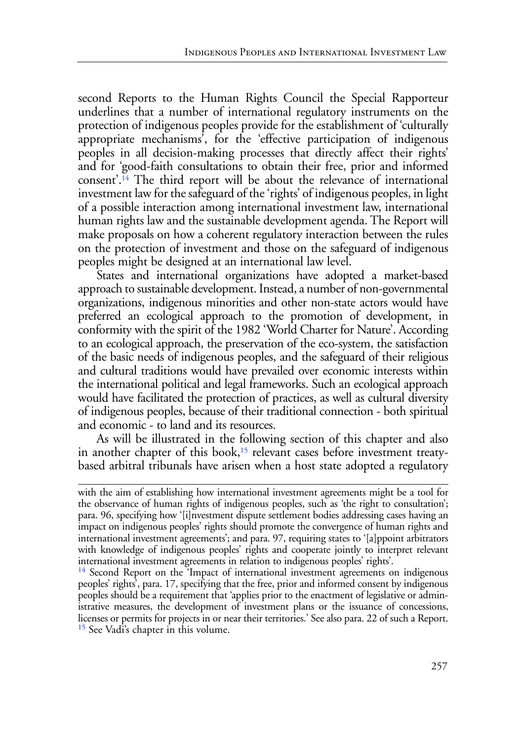<span id="page-4-2"></span>second Reports to the Human Rights Council the Special Rapporteur underlines that a number of international regulatory instruments on the protection of indigenous peoples provide for the establishment of 'culturally appropriate mechanisms', for the 'effective participation of indigenous peoples in all decision-making processes that directly affect their rights' and for 'good-faith consultations to obtain their free, prior and informed consent'.[14](#page-4-0) The third report will be about the relevance of international investment law for the safeguard of the 'rights' of indigenous peoples, in light of a possible interaction among international investment law, international human rights law and the sustainable development agenda. The Report will make proposals on how a coherent regulatory interaction between the rules on the protection of investment and those on the safeguard of indigenous peoples might be designed at an international law level.

States and international organizations have adopted a market-based approach to sustainable development. Instead, a number of non-governmental organizations, indigenous minorities and other non-state actors would have preferred an ecological approach to the promotion of development, in conformity with the spirit of the 1982 'World Charter for Nature'. According to an ecological approach, the preservation of the eco-system, the satisfaction of the basic needs of indigenous peoples, and the safeguard of their religious and cultural traditions would have prevailed over economic interests within the international political and legal frameworks. Such an ecological approach would have facilitated the protection of practices, as well as cultural diversity of indigenous peoples, because of their traditional connection - both spiritual and economic - to land and its resources.

<span id="page-4-3"></span>As will be illustrated in the following section of this chapter and also in another chapter of this book,<sup>[15](#page-4-1)</sup> relevant cases before investment treatybased arbitral tribunals have arisen when a host state adopted a regulatory

with the aim of establishing how international investment agreements might be a tool for the observance of human rights of indigenous peoples, such as 'the right to consultation'; para. 96, specifying how '[i]nvestment dispute settlement bodies addressing cases having an impact on indigenous peoples' rights should promote the convergence of human rights and international investment agreements'; and para. 97, requiring states to '[a]ppoint arbitrators with knowledge of indigenous peoples' rights and cooperate jointly to interpret relevant international investment agreements in relation to indigenous peoples' rights'.

<span id="page-4-1"></span><span id="page-4-0"></span><sup>&</sup>lt;sup>[14](#page-4-2)</sup> Second Report on the 'Impact of international investment agreements on indigenous peoples' rights', para. 17, specifying that the free, prior and informed consent by indigenous peoples should be a requirement that 'applies prior to the enactment of legislative or administrative measures, the development of investment plans or the issuance of concessions, licenses or permits for projects in or near their territories.' See also para. 22 of such a Report. <sup>15</sup> See Vadi's chapter in this volume.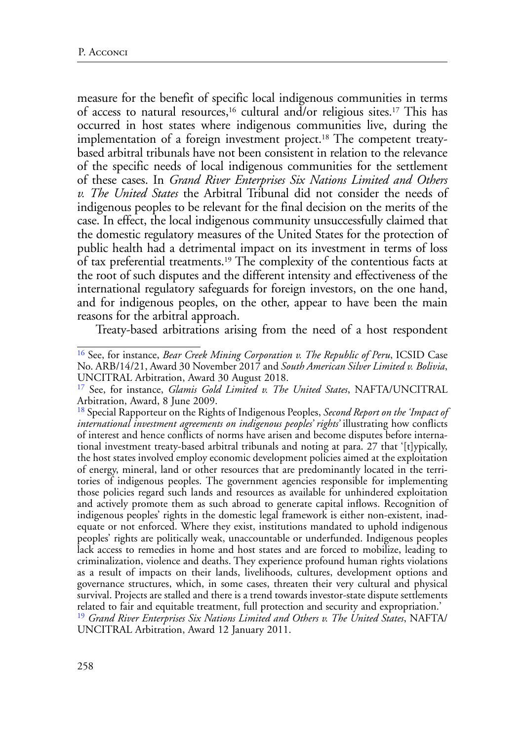<span id="page-5-6"></span><span id="page-5-5"></span><span id="page-5-4"></span>measure for the benefit of specific local indigenous communities in terms of access to natural resources[,16](#page-5-0) cultural and/or religious sites[.17](#page-5-1) This has occurred in host states where indigenous communities live, during the implementation of a foreign investment project.<sup>18</sup> The competent treatybased arbitral tribunals have not been consistent in relation to the relevance of the specific needs of local indigenous communities for the settlement of these cases. In *Grand River Enterprises Six Nations Limited and Others v. The United States* the Arbitral Tribunal did not consider the needs of indigenous peoples to be relevant for the final decision on the merits of the case. In effect, the local indigenous community unsuccessfully claimed that the domestic regulatory measures of the United States for the protection of public health had a detrimental impact on its investment in terms of loss of tax preferential treatments.[19](#page-5-3) The complexity of the contentious facts at the root of such disputes and the different intensity and effectiveness of the international regulatory safeguards for foreign investors, on the one hand, and for indigenous peoples, on the other, appear to have been the main reasons for the arbitral approach.

<span id="page-5-7"></span>Treaty-based arbitrations arising from the need of a host respondent

<span id="page-5-0"></span>[<sup>16</sup>](#page-5-4) See, for instance, *Bear Creek Mining Corporation v. The Republic of Peru*, ICSID Case No. ARB/14/21, Award 30 November 2017 and *South American Silver Limited v. Bolivia*, UNCITRAL Arbitration, Award 30 August 2018.

<span id="page-5-1"></span>[<sup>17</sup>](#page-5-5) See, for instance, *Glamis Gold Limited v. The United States*, NAFTA/UNCITRAL Arbitration, Award, 8 June 2009.

<span id="page-5-3"></span><span id="page-5-2"></span>[<sup>18</sup>](#page-5-6) Special Rapporteur on the Rights of Indigenous Peoples, *Second Report on the 'Impact of international investment agreements on indigenous peoples' rights'* illustrating how conflicts of interest and hence conflicts of norms have arisen and become disputes before international investment treaty-based arbitral tribunals and noting at para. 27 that '[t]ypically, the host states involved employ economic development policies aimed at the exploitation of energy, mineral, land or other resources that are predominantly located in the territories of indigenous peoples. The government agencies responsible for implementing those policies regard such lands and resources as available for unhindered exploitation and actively promote them as such abroad to generate capital inflows. Recognition of indigenous peoples' rights in the domestic legal framework is either non-existent, inadequate or not enforced. Where they exist, institutions mandated to uphold indigenous peoples' rights are politically weak, unaccountable or underfunded. Indigenous peoples lack access to remedies in home and host states and are forced to mobilize, leading to criminalization, violence and deaths. They experience profound human rights violations as a result of impacts on their lands, livelihoods, cultures, development options and governance structures, which, in some cases, threaten their very cultural and physical survival. Projects are stalled and there is a trend towards investor-state dispute settlements related to fair and equitable treatment, full protection and security and expropriation.' [19](#page-5-7) *Grand River Enterprises Six Nations Limited and Others v. The United States*, NAFTA/ UNCITRAL Arbitration, Award 12 January 2011.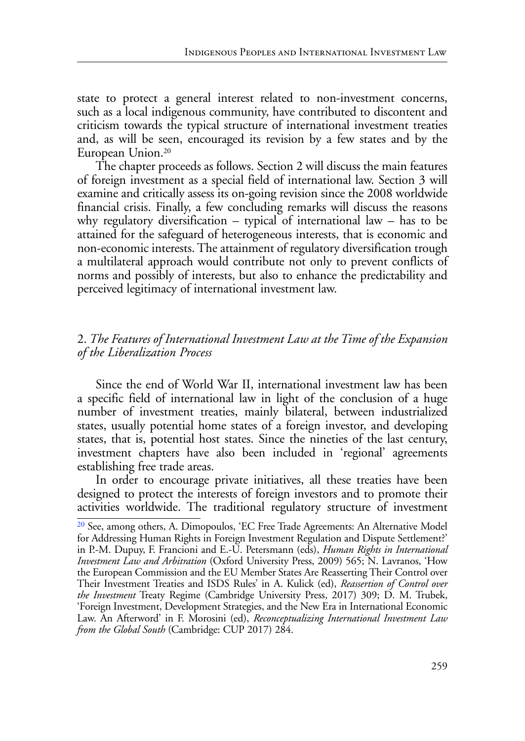state to protect a general interest related to non-investment concerns, such as a local indigenous community, have contributed to discontent and criticism towards the typical structure of international investment treaties and, as will be seen, encouraged its revision by a few states and by the European Union[.20](#page-6-0)

<span id="page-6-1"></span>The chapter proceeds as follows. Section 2 will discuss the main features of foreign investment as a special field of international law. Section 3 will examine and critically assess its on-going revision since the 2008 worldwide financial crisis. Finally, a few concluding remarks will discuss the reasons why regulatory diversification – typical of international law – has to be attained for the safeguard of heterogeneous interests, that is economic and non-economic interests. The attainment of regulatory diversification trough a multilateral approach would contribute not only to prevent conflicts of norms and possibly of interests, but also to enhance the predictability and perceived legitimacy of international investment law.

### 2. *The Features of International Investment Law at the Time of the Expansion of the Liberalization Process*

Since the end of World War II, international investment law has been a specific field of international law in light of the conclusion of a huge number of investment treaties, mainly bilateral, between industrialized states, usually potential home states of a foreign investor, and developing states, that is, potential host states. Since the nineties of the last century, investment chapters have also been included in 'regional' agreements establishing free trade areas.

In order to encourage private initiatives, all these treaties have been designed to protect the interests of foreign investors and to promote their activities worldwide. The traditional regulatory structure of investment

<span id="page-6-0"></span>[<sup>20</sup>](#page-6-1) See, among others, A. Dimopoulos, 'EC Free Trade Agreements: An Alternative Model for Addressing Human Rights in Foreign Investment Regulation and Dispute Settlement?' in P.-M. Dupuy, F. Francioni and E.-U. Petersmann (eds), *Human Rights in International Investment Law and Arbitration* (Oxford University Press, 2009) 565; N. Lavranos, 'How the European Commission and the EU Member States Are Reasserting Their Control over Their Investment Treaties and ISDS Rules' in A. Kulick (ed), *Reassertion of Control over the Investment* Treaty Regime (Cambridge University Press, 2017) 309; D. M. Trubek, 'Foreign Investment, Development Strategies, and the New Era in International Economic Law. An Afterword' in F. Morosini (ed), *Reconceptualizing International Investment Law from the Global South* (Cambridge: CUP 2017) 284.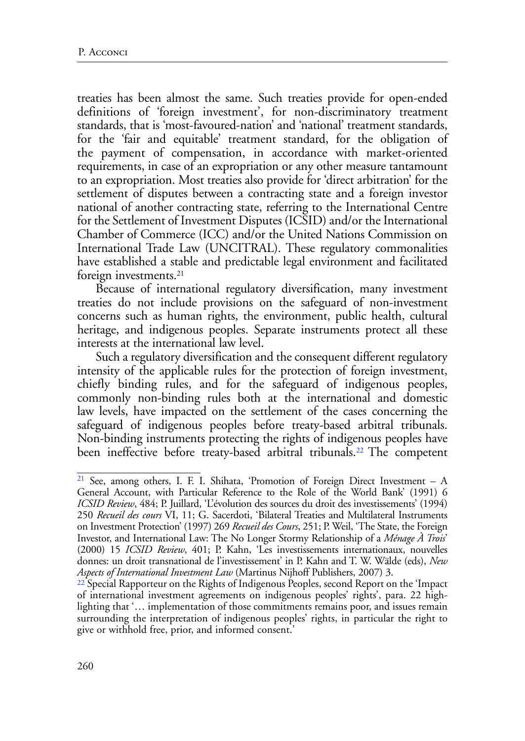treaties has been almost the same. Such treaties provide for open-ended definitions of 'foreign investment', for non-discriminatory treatment standards, that is 'most-favoured-nation' and 'national' treatment standards, for the 'fair and equitable' treatment standard, for the obligation of the payment of compensation, in accordance with market-oriented requirements, in case of an expropriation or any other measure tantamount to an expropriation. Most treaties also provide for 'direct arbitration' for the settlement of disputes between a contracting state and a foreign investor national of another contracting state, referring to the International Centre for the Settlement of Investment Disputes (ICSID) and/or the International Chamber of Commerce (ICC) and/or the United Nations Commission on International Trade Law (UNCITRAL). These regulatory commonalities have established a stable and predictable legal environment and facilitated foreign investments.<sup>21</sup>

<span id="page-7-2"></span>Because of international regulatory diversification, many investment treaties do not include provisions on the safeguard of non-investment concerns such as human rights, the environment, public health, cultural heritage, and indigenous peoples. Separate instruments protect all these interests at the international law level.

Such a regulatory diversification and the consequent different regulatory intensity of the applicable rules for the protection of foreign investment, chiefly binding rules, and for the safeguard of indigenous peoples, commonly non-binding rules both at the international and domestic law levels, have impacted on the settlement of the cases concerning the safeguard of indigenous peoples before treaty-based arbitral tribunals. Non-binding instruments protecting the rights of indigenous peoples have been ineffective before treaty-based arbitral tribunals.<sup>22</sup> The competent

<span id="page-7-0"></span>[<sup>21</sup>](#page-7-2) See, among others, I. F. I. Shihata, 'Promotion of Foreign Direct Investment – A General Account, with Particular Reference to the Role of the World Bank' (1991) 6 *ICSID Review*, 484; P. Juillard, 'L'évolution des sources du droit des investissements' (1994) 250 *Recueil des cours* VI, 11; G. Sacerdoti, 'Bilateral Treaties and Multilateral Instruments on Investment Protection' (1997) 269 *Recueil des Cours*, 251; P. Weil, 'The State, the Foreign Investor, and International Law: The No Longer Stormy Relationship of a *Ménage À Trois*' (2000) 15 *ICSID Review*, 401; P. Kahn, 'Les investissements internationaux, nouvelles donnes: un droit transnational de l'investissement' in P. Kahn and T. W. Wälde (eds), *New Aspects of International Investment Law* (Martinus Nijhoff Publishers, 2007) 3.

<span id="page-7-1"></span><sup>22</sup> Special Rapporteur on the Rights of Indigenous Peoples, second Report on the 'Impact of international investment agreements on indigenous peoples' rights', para. 22 highlighting that '… implementation of those commitments remains poor, and issues remain surrounding the interpretation of indigenous peoples' rights, in particular the right to give or withhold free, prior, and informed consent.'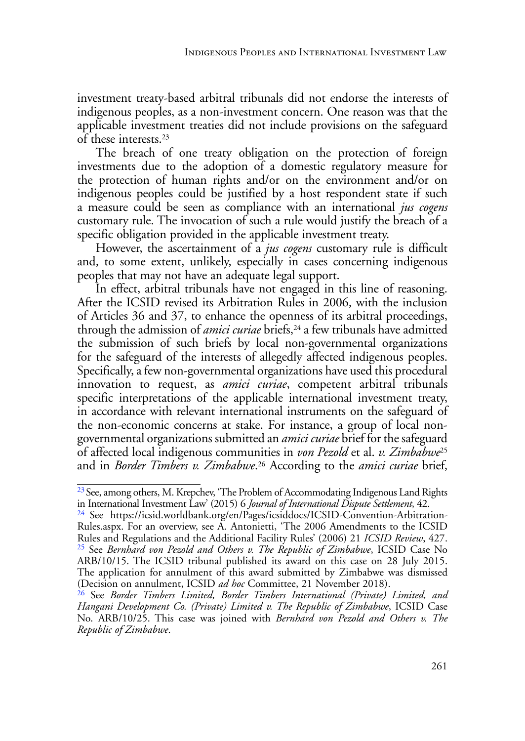investment treaty-based arbitral tribunals did not endorse the interests of indigenous peoples, as a non-investment concern. One reason was that the applicable investment treaties did not include provisions on the safeguard of these interests.[23](#page-8-0)

<span id="page-8-4"></span>The breach of one treaty obligation on the protection of foreign investments due to the adoption of a domestic regulatory measure for the protection of human rights and/or on the environment and/or on indigenous peoples could be justified by a host respondent state if such a measure could be seen as compliance with an international *jus cogens* customary rule. The invocation of such a rule would justify the breach of a specific obligation provided in the applicable investment treaty.

However, the ascertainment of a *jus cogens* customary rule is difficult and, to some extent, unlikely, especially in cases concerning indigenous peoples that may not have an adequate legal support.

<span id="page-8-5"></span>In effect, arbitral tribunals have not engaged in this line of reasoning. After the ICSID revised its Arbitration Rules in 2006, with the inclusion of Articles 36 and 37, to enhance the openness of its arbitral proceedings, through the admission of *amici curiae* briefs,<sup>24</sup> a few tribunals have admitted the submission of such briefs by local non-governmental organizations for the safeguard of the interests of allegedly affected indigenous peoples. Specifically, a few non-governmental organizations have used this procedural innovation to request, as *amici curiae*, competent arbitral tribunals specific interpretations of the applicable international investment treaty, in accordance with relevant international instruments on the safeguard of the non-economic concerns at stake. For instance, a group of local nongovernmental organizations submitted an *amici curiae* brief for the safeguard of affected local indigenous communities in *von Pezold* et al. *v. Zimbabwe*[25](#page-8-2) and in *Border Timbers v. Zimbabwe*. [26](#page-8-3) According to the *amici curiae* brief,

<span id="page-8-7"></span><span id="page-8-6"></span><span id="page-8-0"></span><sup>&</sup>lt;sup>[23](#page-8-4)</sup> See, among others, M. Krepchev, 'The Problem of Accommodating Indigenous Land Rights in International Investment Law' (2015) 6 *Journal of International Dispute Settlement*, 42.

<span id="page-8-2"></span><span id="page-8-1"></span>[<sup>24</sup>](#page-8-5) See https://icsid.worldbank.org/en/Pages/icsiddocs/ICSID-Convention-Arbitration-Rules.aspx. For an overview, see A. Antonietti, '[The 2006 Amendments to the ICSID](https://academic.oup.com/icsidreview/article/21/2/427/628910) [Rules and Regulations and the Additional Facility Rules](https://academic.oup.com/icsidreview/article/21/2/427/628910)' (2006) 21 *ICSID Review*, 427. [25](#page-8-6) See *Bernhard von Pezold and Others v. The Republic of Zimbabwe*, ICSID Case No ARB/10/15. The ICSID tribunal published its award on this case on 28 July 2015. The application for annulment of this award submitted by Zimbabwe was dismissed (Decision on annulment, ICSID *ad hoc* Committee, 21 November 2018).

<span id="page-8-3"></span>[<sup>26</sup>](#page-8-7) See *Border Timbers Limited, Border Timbers International (Private) Limited, and Hangani Development Co. (Private) Limited v. The Republic of Zimbabwe*, ICSID Case No. ARB/10/25. This case was joined with *Bernhard von Pezold and Others v. The Republic of Zimbabwe*.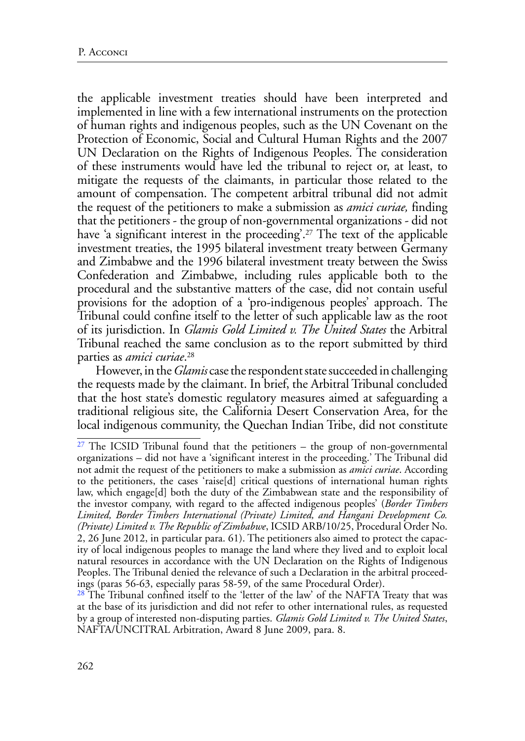<span id="page-9-2"></span>the applicable investment treaties should have been interpreted and implemented in line with a few international instruments on the protection of human rights and indigenous peoples, such as the UN Covenant on the Protection of Economic, Social and Cultural Human Rights and the 2007 UN Declaration on the Rights of Indigenous Peoples. The consideration of these instruments would have led the tribunal to reject or, at least, to mitigate the requests of the claimants, in particular those related to the amount of compensation. The competent arbitral tribunal did not admit the request of the petitioners to make a submission as *amici curiae,* finding that the petitioners - the group of non-governmental organizations - did not have 'a significant interest in the proceeding'.<sup>27</sup> The text of the applicable investment treaties, the 1995 bilateral investment treaty between Germany and Zimbabwe and the 1996 bilateral investment treaty between the Swiss Confederation and Zimbabwe, including rules applicable both to the procedural and the substantive matters of the case, did not contain useful provisions for the adoption of a 'pro-indigenous peoples' approach. The Tribunal could confine itself to the letter of such applicable law as the root of its jurisdiction. In *Glamis Gold Limited v. The United States* the Arbitral Tribunal reached the same conclusion as to the report submitted by third parties as *amici curiae*. [28](#page-9-1)

However, in the *Glamis* case the respondent state succeeded in challenging the requests made by the claimant. In brief, the Arbitral Tribunal concluded that the host state's domestic regulatory measures aimed at safeguarding a traditional religious site, the California Desert Conservation Area, for the local indigenous community, the Quechan Indian Tribe, did not constitute

<span id="page-9-0"></span> $27$  The ICSID Tribunal found that the petitioners – the group of non-governmental organizations – did not have a 'significant interest in the proceeding.' The Tribunal did not admit the request of the petitioners to make a submission as *amici curiae*. According to the petitioners, the cases 'raise[d] critical questions of international human rights law, which engage[d] both the duty of the Zimbabwean state and the responsibility of the investor company, with regard to the affected indigenous peoples' (*Border Timbers Limited, Border Timbers International (Private) Limited, and Hangani Development Co. (Private) Limited v. The Republic of Zimbabwe*, ICSID ARB/10/25, Procedural Order No. 2, 26 June 2012, in particular para. 61). The petitioners also aimed to protect the capacity of local indigenous peoples to manage the land where they lived and to exploit local natural resources in accordance with the UN Declaration on the Rights of Indigenous Peoples. The Tribunal denied the relevance of such a Declaration in the arbitral proceedings (paras 56-63, especially paras 58-59, of the same Procedural Order).

<span id="page-9-1"></span> $28$  The Tribunal confined itself to the 'letter of the law' of the NAFTA Treaty that was at the base of its jurisdiction and did not refer to other international rules, as requested by a group of interested non-disputing parties. *Glamis Gold Limited v. The United States*, NAFTA/UNCITRAL Arbitration, Award 8 June 2009, para. 8.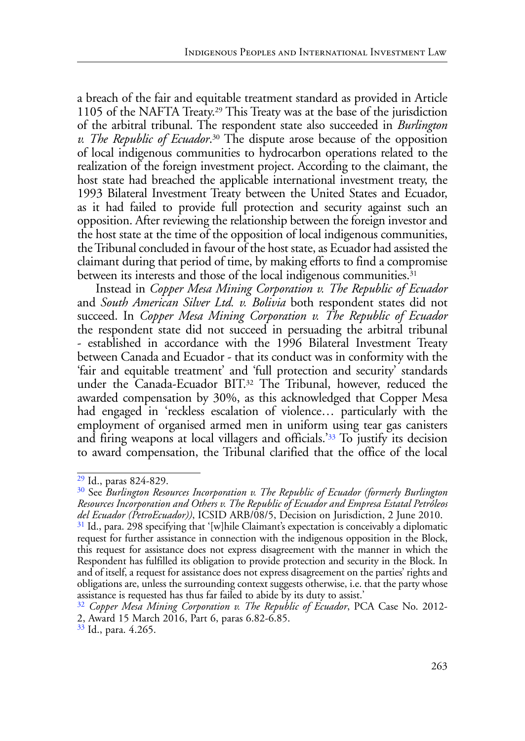<span id="page-10-6"></span><span id="page-10-5"></span>a breach of the fair and equitable treatment standard as provided in Article 1105 of the NAFTA Treaty[.29](#page-10-0) This Treaty was at the base of the jurisdiction of the arbitral tribunal. The respondent state also succeeded in *Burlington v. The Republic of Ecuador*. [30](#page-10-1) The dispute arose because of the opposition of local indigenous communities to hydrocarbon operations related to the realization of the foreign investment project. According to the claimant, the host state had breached the applicable international investment treaty, the 1993 Bilateral Investment Treaty between the United States and Ecuador, as it had failed to provide full protection and security against such an opposition. After reviewing the relationship between the foreign investor and the host state at the time of the opposition of local indigenous communities, the Tribunal concluded in favour of the host state, as Ecuador had assisted the claimant during that period of time, by making efforts to find a compromise between its interests and those of the local indigenous communities.<sup>31</sup>

<span id="page-10-8"></span><span id="page-10-7"></span>Instead in *Copper Mesa Mining Corporation v. The Republic of Ecuador* and *South American Silver Ltd. v. Bolivia* both respondent states did not succeed. In *Copper Mesa Mining Corporation v. The Republic of Ecuador* the respondent state did not succeed in persuading the arbitral tribunal - established in accordance with the 1996 Bilateral Investment Treaty between Canada and Ecuador - that its conduct was in conformity with the 'fair and equitable treatment' and 'full protection and security' standards under the Canada-Ecuador BIT[.32](#page-10-3) The Tribunal, however, reduced the awarded compensation by 30%, as this acknowledged that Copper Mesa had engaged in 'reckless escalation of violence… particularly with the employment of organised armed men in uniform using tear gas canisters and firing weapons at local villagers and officials.['33](#page-10-4) To justify its decision to award compensation, the Tribunal clarified that the office of the local

<span id="page-10-4"></span><sup>[33](#page-10-9)</sup> Id., para. 4.265.

<span id="page-10-9"></span><span id="page-10-0"></span>[<sup>29</sup>](#page-10-5) Id., paras 824-829.

<span id="page-10-1"></span>[<sup>30</sup>](#page-10-6) See *Burlington Resources Incorporation v. The Republic of Ecuador (formerly Burlington Resources Incorporation and Others v. The Republic of Ecuador and Empresa Estatal Petróleos del Ecuador (PetroEcuador))*, ICSID ARB/08/5, Decision on Jurisdiction, 2 June 2010.

<span id="page-10-2"></span> $31$  Id., para. 298 specifying that '[w]hile Claimant's expectation is conceivably a diplomatic request for further assistance in connection with the indigenous opposition in the Block, this request for assistance does not express disagreement with the manner in which the Respondent has fulfilled its obligation to provide protection and security in the Block. In and of itself, a request for assistance does not express disagreement on the parties' rights and obligations are, unless the surrounding context suggests otherwise, i.e. that the party whose assistance is requested has thus far failed to abide by its duty to assist.'

<span id="page-10-3"></span>[<sup>32</sup>](#page-10-8) *Copper Mesa Mining Corporation v. The Republic of Ecuador*, PCA Case No. 2012- 2, [Award](https://www.italaw.com/sites/default/files/case-documents/italaw7443.pdf) 15 March 2016, Part 6, paras 6.82-6.85.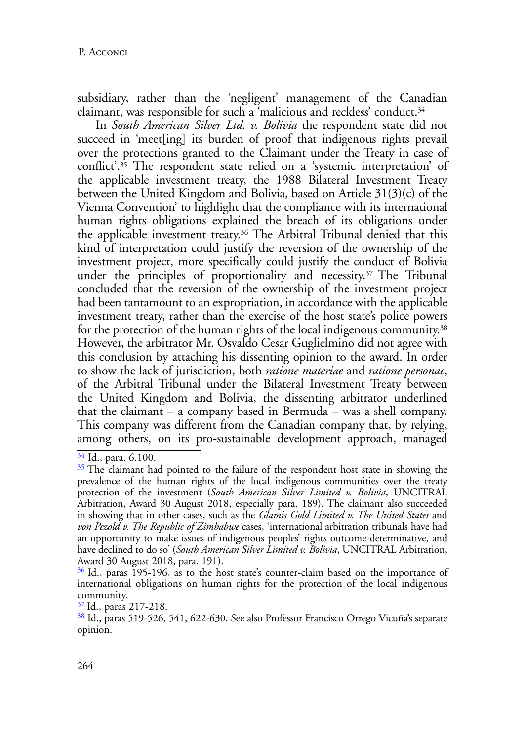<span id="page-11-5"></span>subsidiary, rather than the 'negligent' management of the Canadian claimant, was responsible for such a 'malicious and reckless' conduct[.34](#page-11-0)

<span id="page-11-8"></span><span id="page-11-7"></span><span id="page-11-6"></span>In *South American Silver Ltd. v. Bolivia* the respondent state did not succeed in 'meet[ing] its burden of proof that indigenous rights prevail over the protections granted to the Claimant under the Treaty in case of conflict'[.35](#page-11-1) The respondent state relied on a 'systemic interpretation' of the applicable investment treaty, the 1988 Bilateral Investment Treaty between the United Kingdom and Bolivia, based on Article 31(3)(c) of the Vienna Convention' to highlight that the compliance with its international human rights obligations explained the breach of its obligations under the applicable investment treaty[.36](#page-11-2) The Arbitral Tribunal denied that this kind of interpretation could justify the reversion of the ownership of the investment project, more specifically could justify the conduct of Bolivia under the principles of proportionality and necessity.[37 T](#page-11-3)he Tribunal concluded that the reversion of the ownership of the investment project had been tantamount to an expropriation, in accordance with the applicable investment treaty, rather than the exercise of the host state's police powers for the protection of the human rights of the local indigenous community[.38](#page-11-4) However, the arbitrator Mr. Osvaldo Cesar Guglielmino did not agree with this conclusion by attaching his dissenting opinion to the award. In order to show the lack of jurisdiction, both *ratione materiae* and *ratione personae*, of the Arbitral Tribunal under the Bilateral Investment Treaty between the United Kingdom and Bolivia, the dissenting arbitrator underlined that the claimant – a company based in Bermuda – was a shell company. This company was different from the Canadian company that, by relying, among others, on its pro-sustainable development approach, managed

<span id="page-11-9"></span><span id="page-11-0"></span>[<sup>34</sup>](#page-11-5) Id., para. 6.100.

<span id="page-11-1"></span><sup>&</sup>lt;sup>[35](#page-11-6)</sup> The claimant had pointed to the failure of the respondent host state in showing the prevalence of the human rights of the local indigenous communities over the treaty protection of the investment (*South American Silver Limited v. Bolivia*, UNCITRAL Arbitration, Award 30 August 2018, especially para. 189). The claimant also succeeded in showing that in other cases, such as the *Glamis Gold Limited v. The United States* and *von Pezold v. The Republic of Zimbabwe* cases, 'international arbitration tribunals have had an opportunity to make issues of indigenous peoples' rights outcome-determinative, and have declined to do so' (*South American Silver Limited v. Bolivia*, UNCITRAL Arbitration, Award 30 August 2018, para. 191).

<span id="page-11-2"></span><sup>&</sup>lt;sup>[36](#page-11-7)</sup> Id., paras 195-196, as to the host state's counter-claim based on the importance of international obligations on human rights for the protection of the local indigenous community.

<span id="page-11-3"></span>[<sup>37</sup>](#page-11-8) Id., paras 217-218.

<span id="page-11-4"></span>[<sup>38</sup>](#page-11-9) Id., paras 519-526, 541, 622-630. See also Professor Francisco Orrego Vicuña's separate opinion.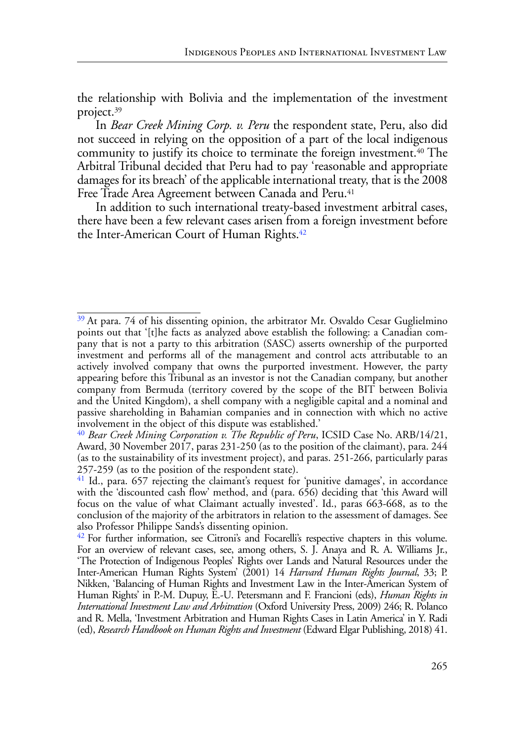<span id="page-12-4"></span>the relationship with Bolivia and the implementation of the investment project[.39](#page-12-0)

<span id="page-12-5"></span>In *Bear Creek Mining Corp. v. Peru* the respondent state, Peru, also did not succeed in relying on the opposition of a part of the local indigenous community to justify its choice to terminate the foreign investment.<sup>[40](#page-12-1)</sup> The Arbitral Tribunal decided that Peru had to pay 'reasonable and appropriate damages for its breach' of the applicable international treaty, that is the 2008 Free Trade Area Agreement between Canada and Peru.<sup>[41](#page-12-2)</sup>

<span id="page-12-7"></span><span id="page-12-6"></span>In addition to such international treaty-based investment arbitral cases, there have been a few relevant cases arisen from a foreign investment before the Inter-American Court of Human Rights.<sup>[42](#page-12-3)</sup>

<span id="page-12-0"></span><sup>&</sup>lt;sup>[39](#page-12-4)</sup> At para. 74 of his dissenting opinion, the arbitrator Mr. Osvaldo Cesar Guglielmino points out that '[t]he facts as analyzed above establish the following: a Canadian company that is not a party to this arbitration (SASC) asserts ownership of the purported investment and performs all of the management and control acts attributable to an actively involved company that owns the purported investment. However, the party appearing before this Tribunal as an investor is not the Canadian company, but another company from Bermuda (territory covered by the scope of the BIT between Bolivia and the United Kingdom), a shell company with a negligible capital and a nominal and passive shareholding in Bahamian companies and in connection with which no active involvement in the object of this dispute was established.'

<span id="page-12-1"></span>[<sup>40</sup>](#page-12-5) *Bear Creek Mining Corporation v. The Republic of Peru*, ICSID Case No. ARB/14/21, Award, 30 November 2017, paras 231-250 (as to the position of the claimant), para. 244 (as to the sustainability of its investment project), and paras. 251-266, particularly paras 257-259 (as to the position of the respondent state).

<span id="page-12-2"></span><sup>&</sup>lt;sup>41</sup> Id., para. 657 rejecting the claimant's request for 'punitive damages', in accordance with the 'discounted cash flow' method, and (para. 656) deciding that 'this Award will focus on the value of what Claimant actually invested'. Id., paras 663-668, as to the conclusion of the majority of the arbitrators in relation to the assessment of damages. See also Professor Philippe Sands's dissenting opinion.

<span id="page-12-3"></span><sup>&</sup>lt;sup>[42](#page-12-7)</sup> For further information, see Citroni's and Focarelli's respective chapters in this volume. For an overview of relevant cases, see, among others, S. J. Anaya and R. A. Williams Jr., 'The Protection of Indigenous Peoples' Rights over Lands and Natural Resources under the Inter-American Human Rights System' (2001) 14 *Harvard Human Rights Journal*, 33; P. Nikken, 'Balancing of Human Rights and Investment Law in the Inter-American System of Human Rights' in P.-M. Dupuy, E.-U. Petersmann and F. Francioni (eds), *Human Rights in International Investment Law and Arbitration* (Oxford University Press, 2009) 246; R. Polanco and R. Mella, 'Investment Arbitration and Human Rights Cases in Latin America' in Y. Radi (ed), *[Research Handbook on Human Rights and Investment](https://www.elgaronline.com/view/edcoll/9781782549116/9781782549116.xml)* (Edward Elgar Publishing, 2018) 41.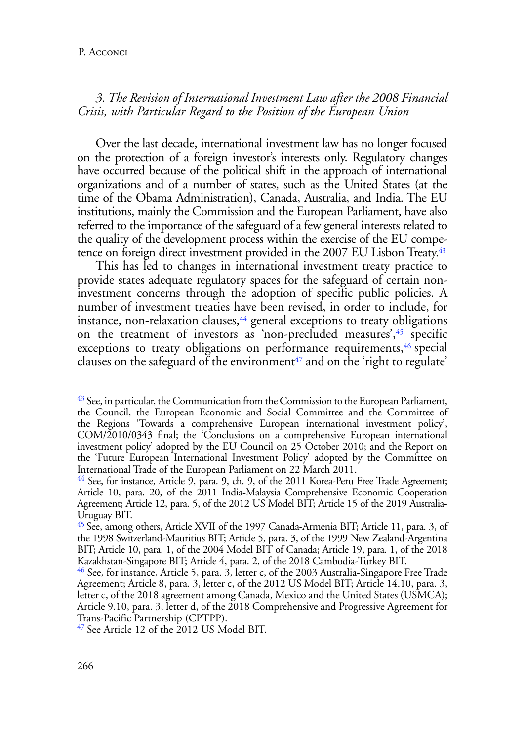## *3. The Revision of International Investment Law after the 2008 Financial Crisis, with Particular Regard to the Position of the European Union*

Over the last decade, international investment law has no longer focused on the protection of a foreign investor's interests only. Regulatory changes have occurred because of the political shift in the approach of international organizations and of a number of states, such as the United States (at the time of the Obama Administration), Canada, Australia, and India. The EU institutions, mainly the Commission and the European Parliament, have also referred to the importance of the safeguard of a few general interests related to the quality of the development process within the exercise of the EU competence on foreign direct investment provided in the 2007 EU Lisbon Treaty.<sup>43</sup>

<span id="page-13-7"></span><span id="page-13-6"></span><span id="page-13-5"></span>This has led to changes in international investment treaty practice to provide states adequate regulatory spaces for the safeguard of certain noninvestment concerns through the adoption of specific public policies. A number of investment treaties have been revised, in order to include, for instance, non-relaxation clauses,<sup>44</sup> general exceptions to treaty obligations on the treatment of investors as 'non-precluded measures', [45](#page-13-2) specific exceptions to treaty obligations on performance requirements,<sup>46</sup> special clauses on the safeguard of the environment<sup> $47$ </sup> and on the 'right to regulate'

<span id="page-13-9"></span><span id="page-13-8"></span><span id="page-13-0"></span> $43$  See, in particular, the Communication from the Commission to the European Parliament, the Council, the European Economic and Social Committee and the Committee of the Regions 'Towards a comprehensive European international investment policy', COM/2010/0343 final; the 'Conclusions on a comprehensive European international investment policy' adopted by the EU Council on 25 October 2010; and the Report on the 'Future European International Investment Policy' adopted by the Committee on International Trade of the European Parliament on 22 March 2011.

<span id="page-13-1"></span> $\frac{44}{3}$  See, for instance, Article 9, para. 9, ch. 9, of the 2011 Korea-Peru Free Trade Agreement; Article 10, para. 20, of the 2011 India-Malaysia Comprehensive Economic Cooperation Agreement; Article 12, para. 5, of the 2012 US Model BIT; Article 15 of the 2019 Australia-Uruguay BIT.

<span id="page-13-2"></span>[<sup>45</sup>](#page-13-7) See, among others, Article XVII of the 1997 Canada-Armenia BIT; Article 11, para. 3, of the 1998 Switzerland-Mauritius BIT; Article 5, para. 3, of the 1999 New Zealand-Argentina BIT; Article 10, para. 1, of the 2004 Model BIT of Canada; Article 19, para. 1, of the 2018 Kazakhstan-Singapore BIT; Article 4, para. 2, of the 2018 Cambodia-Turkey BIT.

<span id="page-13-3"></span><sup>&</sup>lt;sup>46</sup> See, for instance, Article 5, para. 3, letter c, of the 2003 Australia-Singapore Free Trade Agreement; Article 8, para. 3, letter c, of the 2012 US Model BIT; Article 14.10, para. 3, letter c, of the 2018 agreement among Canada, Mexico and the United States (USMCA); Article 9.10, para. 3, letter d, of the 2018 [Comprehensive and Progressive Agreement for](https://investmentpolicy.unctad.org/international-investment-agreements/treaties/treaties-with-investment-provisions/3808/comprehensive-and-progressive-agreement-for-trans-pacific-partnership-cptpp-2018-) [Trans-Pacific Partnership \(CPTPP\).](https://investmentpolicy.unctad.org/international-investment-agreements/treaties/treaties-with-investment-provisions/3808/comprehensive-and-progressive-agreement-for-trans-pacific-partnership-cptpp-2018-)

<span id="page-13-4"></span><sup>&</sup>lt;sup>47</sup> See Article 12 of the 2012 US Model BIT.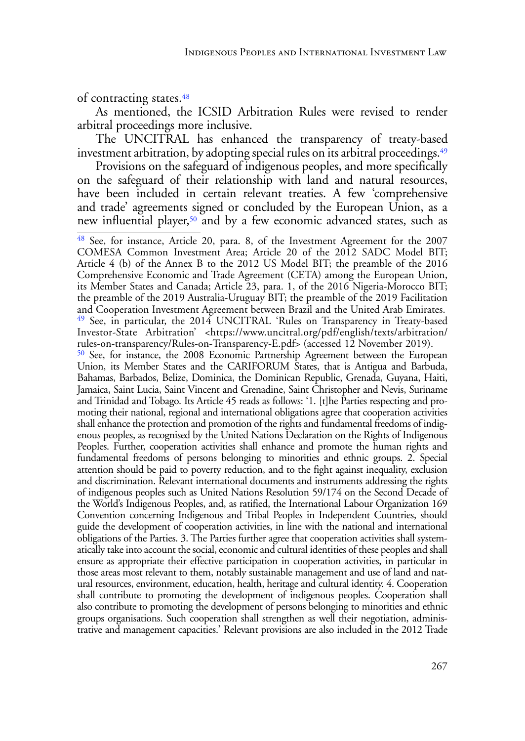<span id="page-14-3"></span>of contracting states.<sup>48</sup>

As mentioned, the ICSID Arbitration Rules were revised to render arbitral proceedings more inclusive.

<span id="page-14-4"></span>The UNCITRAL has enhanced the transparency of treaty-based investment arbitration, by adopting special rules on its arbitral proceedings.<sup>49</sup>

Provisions on the safeguard of indigenous peoples, and more specifically on the safeguard of their relationship with land and natural resources, have been included in certain relevant treaties. A few 'comprehensive and trade' agreements signed or concluded by the European Union, as a new influential player,<sup>50</sup> and by a few economic advanced states, such as

<span id="page-14-5"></span><span id="page-14-2"></span><span id="page-14-1"></span><span id="page-14-0"></span>[48](#page-14-3) See, for instance, Article 20, para. 8, of the Investment Agreement for the 2007 COMESA Common Investment Area; Article 20 of the 2012 SADC Model BIT; Article 4 (b) of the Annex B to the 2012 US Model BIT; the preamble of the 2016 Comprehensive Economic and Trade Agreement (CETA) among the European Union, its Member States and Canada; Article 23, para. 1, of the 2016 Nigeria-Morocco BIT; the preamble of the 2019 Australia-Uruguay BIT; the preamble of the 2019 Facilitation and Cooperation Investment Agreement between Brazil and the United Arab Emirates. [49](#page-14-4) See, in particular, the 2014 UNCITRAL 'Rules on Transparency in Treaty-based Investor-State Arbitration' <https://www.uncitral.org/pdf/english/texts/arbitration/ rules-on-transparency/Rules-on-Transparency-E.pdf> (accessed 12 November 2019). [50](#page-14-5) See, for instance, the 2008 Economic Partnership Agreement between the European Union, its Member States and the CARIFORUM States, that is Antigua and Barbuda, Bahamas, Barbados, Belize, Dominica, the Dominican Republic, Grenada, Guyana, Haiti, Jamaica, Saint Lucia, Saint Vincent and Grenadine, Saint Christopher and Nevis, Suriname and Trinidad and Tobago. Its Article 45 reads as follows: '1. [t]he Parties respecting and promoting their national, regional and international obligations agree that cooperation activities shall enhance the protection and promotion of the rights and fundamental freedoms of indigenous peoples, as recognised by the United Nations Declaration on the Rights of Indigenous Peoples. Further, cooperation activities shall enhance and promote the human rights and fundamental freedoms of persons belonging to minorities and ethnic groups. 2. Special attention should be paid to poverty reduction, and to the fight against inequality, exclusion and discrimination. Relevant international documents and instruments addressing the rights of indigenous peoples such as United Nations Resolution 59/174 on the Second Decade of the World's Indigenous Peoples, and, as ratified, the International Labour Organization 169 Convention concerning Indigenous and Tribal Peoples in Independent Countries, should guide the development of cooperation activities, in line with the national and international obligations of the Parties. 3. The Parties further agree that cooperation activities shall systematically take into account the social, economic and cultural identities of these peoples and shall ensure as appropriate their effective participation in cooperation activities, in particular in those areas most relevant to them, notably sustainable management and use of land and natural resources, environment, education, health, heritage and cultural identity. 4. Cooperation shall contribute to promoting the development of indigenous peoples. Cooperation shall also contribute to promoting the development of persons belonging to minorities and ethnic groups organisations. Such cooperation shall strengthen as well their negotiation, administrative and management capacities.' Relevant provisions are also included in the 2012 Trade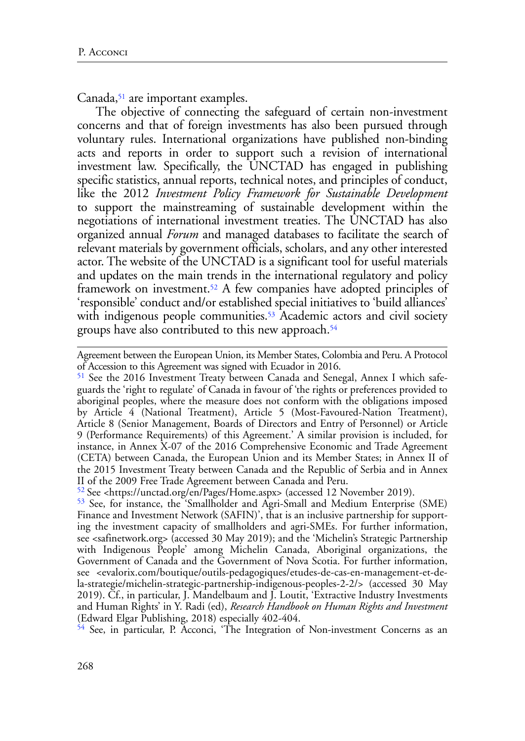<span id="page-15-4"></span>Canada,<sup>51</sup> are important examples.

The objective of connecting the safeguard of certain non-investment concerns and that of foreign investments has also been pursued through voluntary rules. International organizations have published non-binding acts and reports in order to support such a revision of international investment law. Specifically, the UNCTAD has engaged in publishing specific statistics, annual reports, technical notes, and principles of conduct, like the 2012 *Investment Policy Framework for Sustainable Development* to support the mainstreaming of sustainable development within the negotiations of international investment treaties. The UNCTAD has also organized annual *Forum* and managed databases to facilitate the search of relevant materials by government officials, scholars, and any other interested actor. The website of the UNCTAD is a significant tool for useful materials and updates on the main trends in the international regulatory and policy framework on investment[.52](#page-15-1) A few companies have adopted principles of 'responsible' conduct and/or established special initiatives to 'build alliances' with indigenous people communities.<sup>53</sup> Academic actors and civil society groups have also contributed to this new approach[.54](#page-15-3)

<span id="page-15-3"></span><sup>54</sup> See, in particular, P. Acconci, 'The Integration of Non-investment Concerns as an

<span id="page-15-7"></span><span id="page-15-6"></span><span id="page-15-5"></span>Agreement between the European Union, its Member States, Colombia and Peru. A Protocol of Accession to this Agreement was signed with Ecuador in 2016.

<span id="page-15-0"></span>[<sup>51</sup>](#page-15-4) See the 2016 Investment Treaty between Canada and Senegal, Annex I which safeguards the 'right to regulate' of Canada in favour of 'the rights or preferences provided to aboriginal peoples, where the measure does not conform with the obligations imposed by Article 4 (National Treatment), Article 5 (Most-Favoured-Nation Treatment), Article 8 (Senior Management, Boards of Directors and Entry of Personnel) or Article 9 (Performance Requirements) of this Agreement.' A similar provision is included, for instance, in Annex X-07 of the 2016 Comprehensive Economic and Trade Agreement (CETA) between Canada, the European Union and its Member States; in Annex II of the 2015 Investment Treaty between Canada and the Republic of Serbia and in Annex II of the 2009 Free Trade Agreement between Canada and Peru.

<span id="page-15-1"></span>[<sup>52</sup>](#page-15-5) See <https://unctad.org/en/Pages/Home.aspx> (accessed 12 November 2019).

<span id="page-15-2"></span>[<sup>53</sup>](#page-15-6) See, for instance, the 'Smallholder and Agri-Small and Medium Enterprise (SME) Finance and Investment Network (SAFIN)', that is an inclusive partnership for supporting the investment capacity of smallholders and agri-SMEs. For further information, see <safinetwork.org> (accessed 30 May 2019); and the 'Michelin's Strategic Partnership with Indigenous People' among Michelin Canada, Aboriginal organizations, the Government of Canada and the Government of Nova Scotia. For further information, see <evalorix.com/boutique/outils-pedagogiques/etudes-de-cas-en-management-et-dela-strategie/michelin-strategic-partnership-indigenous-peoples-2-2/> (accessed 30 May 2019). Cf., in particular, J. Mandelbaum and J. Loutit, 'Extractive Industry Investments and Human Rights' in Y. Radi (ed), *[Research Handbook on Human Rights and Investment](https://www.elgaronline.com/view/edcoll/9781782549116/9781782549116.xml)* (Edward Elgar Publishing, 2018) especially 402-404.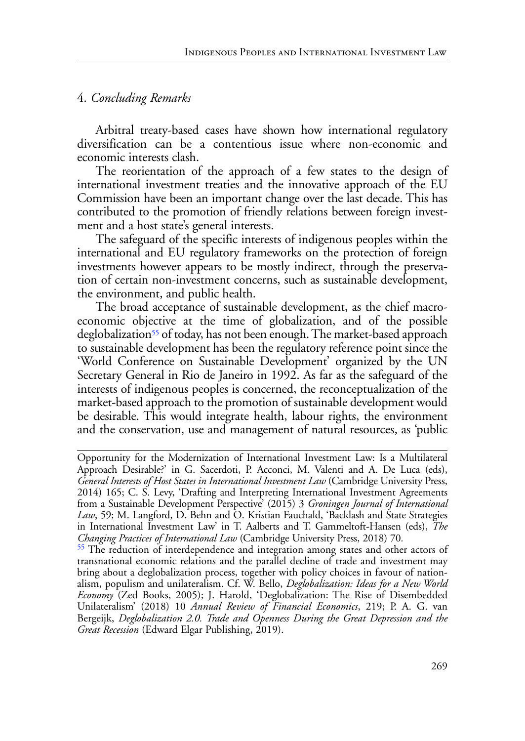## 4. *Concluding Remarks*

Arbitral treaty-based cases have shown how international regulatory diversification can be a contentious issue where non-economic and economic interests clash.

The reorientation of the approach of a few states to the design of international investment treaties and the innovative approach of the EU Commission have been an important change over the last decade. This has contributed to the promotion of friendly relations between foreign investment and a host state's general interests.

The safeguard of the specific interests of indigenous peoples within the international and EU regulatory frameworks on the protection of foreign investments however appears to be mostly indirect, through the preservation of certain non-investment concerns, such as sustainable development, the environment, and public health.

<span id="page-16-1"></span>The broad acceptance of sustainable development, as the chief macroeconomic objective at the time of globalization, and of the possible deglobalization<sup>55</sup> of today, has not been enough. The market-based approach to sustainable development has been the regulatory reference point since the 'World Conference on Sustainable Development' organized by the UN Secretary General in Rio de Janeiro in 1992. As far as the safeguard of the interests of indigenous peoples is concerned, the reconceptualization of the market-based approach to the promotion of sustainable development would be desirable. This would integrate health, labour rights, the environment and the conservation, use and management of natural resources, as 'public

Opportunity for the Modernization of International Investment Law: Is a Multilateral Approach Desirable?' in G. Sacerdoti, P. Acconci, M. Valenti and A. De Luca (eds), *General Interests of Host States in International Investment Law* (Cambridge University Press, 2014) 165; C. S. Levy, 'Drafting and Interpreting International Investment Agreements from a Sustainable Development Perspective' (2015) 3 *Groningen Journal of International Law*, 59; M. Langford, D. Behn and O. Kristian Fauchald, 'Backlash and State Strategies in International Investment Law' in T. Aalberts and T. Gammeltoft-Hansen (eds), *The* 

<span id="page-16-0"></span><sup>&</sup>lt;sup>55</sup> The reduction of interdependence and integration among states and other actors of transnational economic relations and the parallel decline of trade and investment may bring about a deglobalization process, together with policy choices in favour of nationalism, populism and unilateralism. Cf. W. Bello, *Deglobalization: Ideas for a New World Economy* (Zed Books, 2005); J. Harold, 'Deglobalization: The Rise of Disembedded Unilateralism' (2018) 10 *Annual Review of Financial Economics*, 219; P. A. G. van Bergeijk, *Deglobalization 2.0. Trade and Openness During the Great Depression and the Great Recession* (Edward Elgar Publishing, 2019).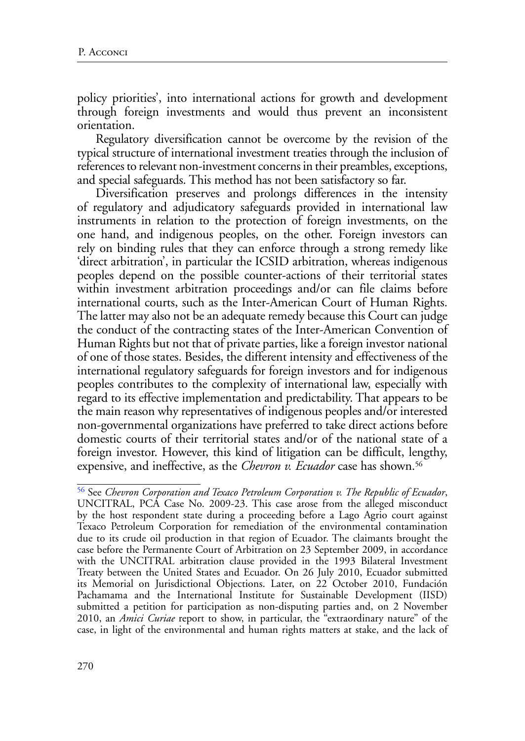policy priorities', into international actions for growth and development through foreign investments and would thus prevent an inconsistent orientation.

Regulatory diversification cannot be overcome by the revision of the typical structure of international investment treaties through the inclusion of references to relevant non-investment concerns in their preambles, exceptions, and special safeguards. This method has not been satisfactory so far.

Diversification preserves and prolongs differences in the intensity of regulatory and adjudicatory safeguards provided in international law instruments in relation to the protection of foreign investments, on the one hand, and indigenous peoples, on the other. Foreign investors can rely on binding rules that they can enforce through a strong remedy like 'direct arbitration', in particular the ICSID arbitration, whereas indigenous peoples depend on the possible counter-actions of their territorial states within investment arbitration proceedings and/or can file claims before international courts, such as the Inter-American Court of Human Rights. The latter may also not be an adequate remedy because this Court can judge the conduct of the contracting states of the Inter-American Convention of Human Rights but not that of private parties, like a foreign investor national of one of those states. Besides, the different intensity and effectiveness of the international regulatory safeguards for foreign investors and for indigenous peoples contributes to the complexity of international law, especially with regard to its effective implementation and predictability. That appears to be the main reason why representatives of indigenous peoples and/or interested non-governmental organizations have preferred to take direct actions before domestic courts of their territorial states and/or of the national state of a foreign investor. However, this kind of litigation can be difficult, lengthy, expensive, and ineffective, as the *Chevron v. Ecuador* case has shown.<sup>56</sup>

<span id="page-17-1"></span><span id="page-17-0"></span>[<sup>56</sup>](#page-17-1) See *Chevron Corporation and Texaco Petroleum Corporation v. The Republic of Ecuador*, UNCITRAL, PCA Case No. 2009-23. This case arose from the alleged misconduct by the host respondent state during a proceeding before a Lago Agrio court against Texaco Petroleum Corporation for remediation of the environmental contamination due to its crude oil production in that region of Ecuador. The claimants brought the case before the Permanente Court of Arbitration on 23 September 2009, in accordance with the UNCITRAL arbitration clause provided in the 1993 Bilateral Investment Treaty between the United States and Ecuador. On 26 July 2010, Ecuador submitted its Memorial on Jurisdictional Objections. Later, on 22 October 2010, Fundación Pachamama and the International Institute for Sustainable Development (IISD) submitted a petition for participation as non-disputing parties and, on 2 November 2010, an *Amici Curiae* report to show, in particular, the "extraordinary nature" of the case, in light of the environmental and human rights matters at stake, and the lack of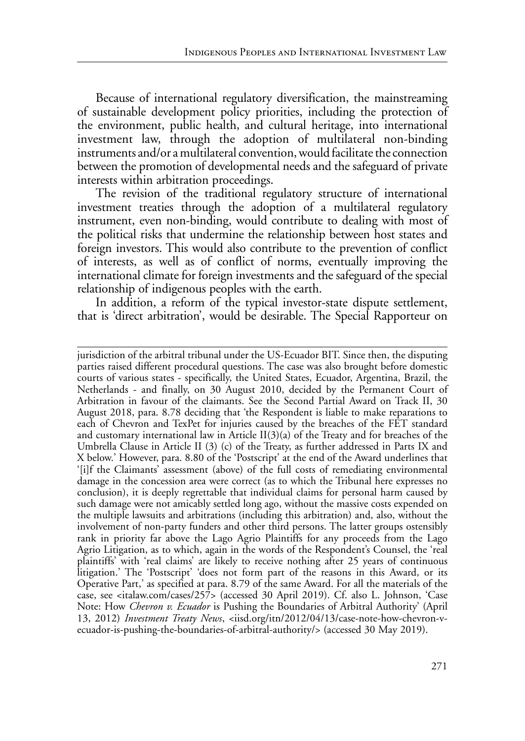Because of international regulatory diversification, the mainstreaming of sustainable development policy priorities, including the protection of the environment, public health, and cultural heritage, into international investment law, through the adoption of multilateral non-binding instruments and/or a multilateral convention, would facilitate the connection between the promotion of developmental needs and the safeguard of private interests within arbitration proceedings.

The revision of the traditional regulatory structure of international investment treaties through the adoption of a multilateral regulatory instrument, even non-binding, would contribute to dealing with most of the political risks that undermine the relationship between host states and foreign investors. This would also contribute to the prevention of conflict of interests, as well as of conflict of norms, eventually improving the international climate for foreign investments and the safeguard of the special relationship of indigenous peoples with the earth.

In addition, a reform of the typical investor-state dispute settlement, that is 'direct arbitration', would be desirable. The Special Rapporteur on

jurisdiction of the arbitral tribunal under the US-Ecuador BIT. Since then, the disputing parties raised different procedural questions. The case was also brought before domestic courts of various states - specifically, the United States, Ecuador, Argentina, Brazil, the Netherlands - and finally, on 30 August 2010, decided by the Permanent Court of Arbitration in favour of the claimants. See the Second Partial Award on Track II, 30 August 2018, para. 8.78 deciding that 'the Respondent is liable to make reparations to each of Chevron and TexPet for injuries caused by the breaches of the FET standard and customary international law in Article  $II(3)(a)$  of the Treaty and for breaches of the Umbrella Clause in Article II (3) (c) of the Treaty, as further addressed in Parts IX and X below.' However, para. 8.80 of the 'Postscript' at the end of the Award underlines that '[i]f the Claimants' assessment (above) of the full costs of remediating environmental damage in the concession area were correct (as to which the Tribunal here expresses no conclusion), it is deeply regrettable that individual claims for personal harm caused by such damage were not amicably settled long ago, without the massive costs expended on the multiple lawsuits and arbitrations (including this arbitration) and, also, without the involvement of non-party funders and other third persons. The latter groups ostensibly rank in priority far above the Lago Agrio Plaintiffs for any proceeds from the Lago Agrio Litigation, as to which, again in the words of the Respondent's Counsel, the 'real plaintiffs' with 'real claims' are likely to receive nothing after 25 years of continuous litigation.' The 'Postscript' 'does not form part of the reasons in this Award, or its Operative Part,' as specified at para. 8.79 of the same Award. For all the materials of the case, see <italaw.com/cases/257> (accessed 30 April 2019). Cf. also L. Johnson, 'Case Note: How *Chevron v. Ecuador* is Pushing the Boundaries of Arbitral Authority' (April 13, 2012) *Investment Treaty News*, <iisd.org/itn/2012/04/13/case-note-how-chevron-vecuador-is-pushing-the-boundaries-of-arbitral-authority/> (accessed 30 May 2019).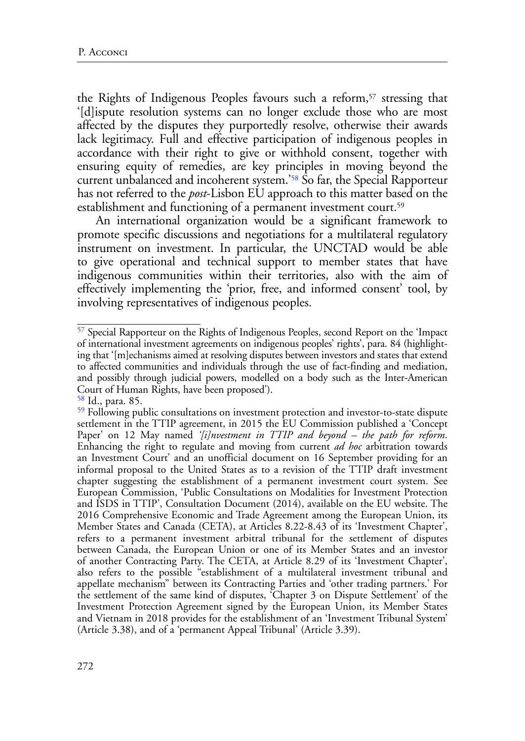<span id="page-19-3"></span>the Rights of Indigenous Peoples favours such a reform,<sup>[57](#page-19-0)</sup> stressing that '[d]ispute resolution systems can no longer exclude those who are most affected by the disputes they purportedly resolve, otherwise their awards lack legitimacy. Full and effective participation of indigenous peoples in accordance with their right to give or withhold consent, together with ensuring equity of remedies, are key principles in moving beyond the current unbalanced and incoherent system.['58](#page-19-1) So far, the Special Rapporteur has not referred to the *post*-Lisbon EU approach to this matter based on the establishment and functioning of a permanent investment court.<sup>59</sup>

<span id="page-19-5"></span><span id="page-19-4"></span>An international organization would be a significant framework to promote specific discussions and negotiations for a multilateral regulatory instrument on investment. In particular, the UNCTAD would be able to give operational and technical support to member states that have indigenous communities within their territories, also with the aim of effectively implementing the 'prior, free, and informed consent' tool, by involving representatives of indigenous peoples.

<span id="page-19-0"></span>[<sup>57</sup>](#page-19-3) Special Rapporteur on the Rights of Indigenous Peoples, second Report on the 'Impact of international investment agreements on indigenous peoples' rights', para. 84 (highlighting that '[m]echanisms aimed at resolving disputes between investors and states that extend to affected communities and individuals through the use of fact-finding and mediation, and possibly through judicial powers, modelled on a body such as the Inter-American Court of Human Rights, have been proposed').

<span id="page-19-1"></span>[<sup>58</sup>](#page-19-4) Id., para. 85.

<span id="page-19-2"></span><sup>&</sup>lt;sup>59</sup> Following public consultations on investment protection and investor-to-state dispute settlement in the TTIP agreement, in 2015 the EU Commission published a 'Concept Paper' on 12 May named *['\[i\]nvestment in TTIP and beyond – the path for reform](http://trade.ec.europa.eu/doclib/docs/2015/may/tradoc_153408.PDF)*. [Enhancing the right to regulate and moving from current](http://trade.ec.europa.eu/doclib/docs/2015/may/tradoc_153408.PDF) *ad hoc* arbitration towards [an Investment Court](http://trade.ec.europa.eu/doclib/docs/2015/may/tradoc_153408.PDF)' and an unofficial document on 16 September providing for an informal proposal to the United States as to a revision of the TTIP draft investment chapter suggesting the establishment of a permanent investment court system. See European Commission, 'Public Consultations on Modalities for Investment Protection and ISDS in TTIP', Consultation Document (2014), available on the EU website. The 2016 Comprehensive Economic and Trade Agreement among the European Union, its Member States and Canada (CETA), at Articles 8.22-8.43 of its 'Investment Chapter', refers to a permanent investment arbitral tribunal for the settlement of disputes between Canada, the European Union or one of its Member States and an investor of another Contracting Party. The CETA, at Article 8.29 of its 'Investment Chapter', also refers to the possible "establishment of a multilateral investment tribunal and appellate mechanism" between its Contracting Parties and 'other trading partners.' For the settlement of the same kind of disputes, 'Chapter 3 on Dispute Settlement' of the Investment Protection Agreement signed by the European Union, its Member States and Vietnam in 2018 provides for the establishment of an 'Investment Tribunal System' (Article 3.38), and of a 'permanent Appeal Tribunal' (Article 3.39).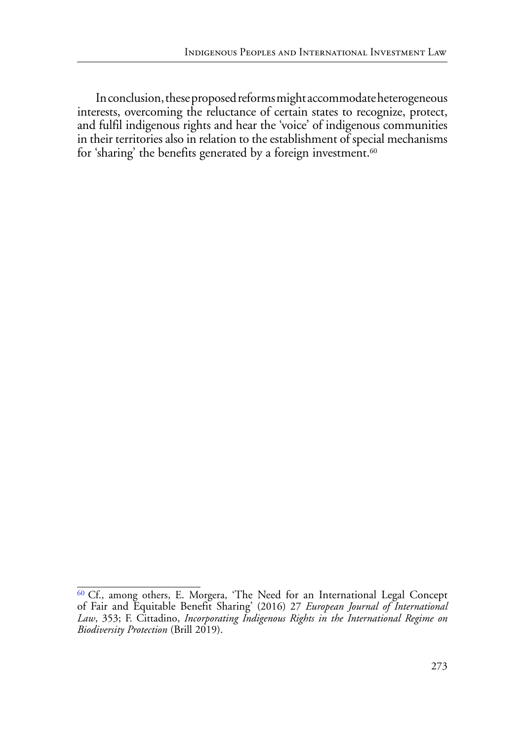<span id="page-20-1"></span>In conclusion, these proposed reforms might accommodate heterogeneous interests, overcoming the reluctance of certain states to recognize, protect, and fulfil indigenous rights and hear the 'voice' of indigenous communities in their territories also in relation to the establishment of special mechanisms for 'sharing' the benefits generated by a foreign investment.<sup>[60](#page-20-0)</sup>

<span id="page-20-0"></span>[<sup>60</sup>](#page-20-1) Cf., among others, E. Morgera, 'The Need for an International Legal Concept of Fair and Equitable Benefit Sharing' (2016) 27 *European Journal of International Law*, 353; F. Cittadino, *Incorporating Indigenous Rights in the International Regime on Biodiversity Protection* (Brill 2019).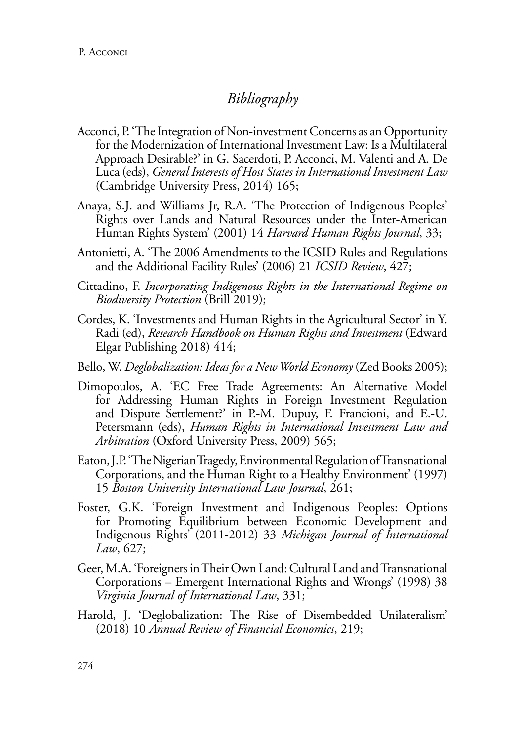# *Bibliography*

- Acconci, P. 'The Integration of Non-investment Concerns as an Opportunity for the Modernization of International Investment Law: Is a Multilateral Approach Desirable?' in G. Sacerdoti, P. Acconci, M. Valenti and A. De Luca (eds), *General Interests of Host States in International Investment Law* (Cambridge University Press, 2014) 165;
- Anaya, S.J. and Williams Jr, R.A. 'The Protection of Indigenous Peoples' Rights over Lands and Natural Resources under the Inter-American Human Rights System' (2001) 14 *Harvard Human Rights Journal*, 33;
- Antonietti, A. '[The 2006 Amendments to the ICSID Rules and Regulations](https://academic.oup.com/icsidreview/article/21/2/427/628910)  [and the Additional Facility Rules'](https://academic.oup.com/icsidreview/article/21/2/427/628910) (2006) 21 *ICSID Review*, 427;
- Cittadino, F. *Incorporating Indigenous Rights in the International Regime on Biodiversity Protection* (Brill 2019);
- [Cordes,](https://www.elgaronline.com/search?f_0=author&q_0=Kaitlin+Cordes) K. 'Investments and Human Rights in the Agricultural Sector' in Y. Radi (ed), *[Research Handbook on Human Rights and Investment](https://www.elgaronline.com/view/edcoll/9781782549116/9781782549116.xml)* (Edward Elgar Publishing 2018) 414;
- Bello, W. *Deglobalization: Ideas for a New World Economy* (Zed Books 2005);
- Dimopoulos, A. 'EC Free Trade Agreements: An Alternative Model for Addressing Human Rights in Foreign Investment Regulation and Dispute Settlement?' in P.-M. Dupuy, F. Francioni, and E.-U. Petersmann (eds), *Human Rights in International Investment Law and Arbitration* (Oxford University Press, 2009) 565;
- Eaton, J.P. 'The Nigerian Tragedy, Environmental Regulation of Transnational Corporations, and the Human Right to a Healthy Environment' (1997) 15 *Boston University International Law Journal*, 261;
- Foster, G.K. 'Foreign Investment and Indigenous Peoples: Options for Promoting Equilibrium between Economic Development and Indigenous Rights' (2011-2012) 33 *Michigan Journal of International Law*, 627;
- Geer, M.A. 'Foreigners in Their Own Land: Cultural Land and Transnational Corporations – Emergent International Rights and Wrongs' (1998) 38 *Virginia Journal of International Law*, 331;
- Harold, J. 'Deglobalization: The Rise of Disembedded Unilateralism' (2018) 10 *Annual Review of Financial Economics*, 219;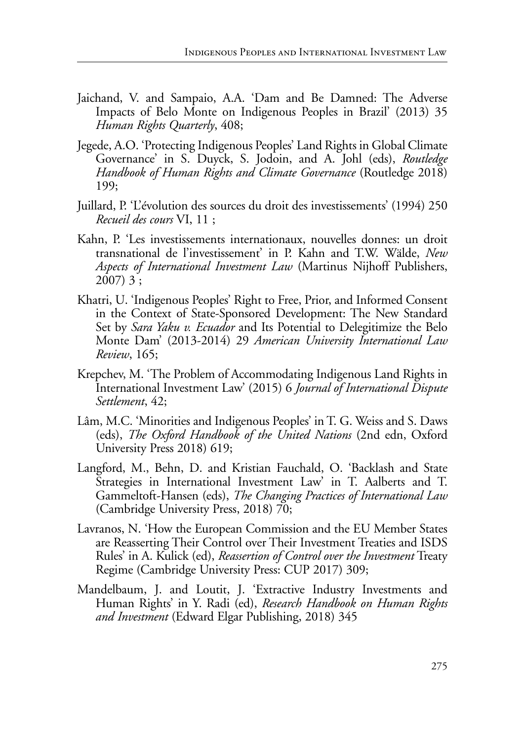- Jaichand, V. and Sampaio, A.A. 'Dam and Be Damned: The Adverse Impacts of Belo Monte on Indigenous Peoples in Brazil' (2013) 35 *Human Rights Quarterly*, 408;
- Jegede, A.O. 'Protecting Indigenous Peoples' Land Rights in Global Climate Governance' in S. Duyck, S. Jodoin, and A. Johl (eds), *Routledge Handbook of Human Rights and Climate Governance* (Routledge 2018) 199;
- Juillard, P. 'L'évolution des sources du droit des investissements' (1994) 250 *Recueil des cours* VI, 11 ;
- Kahn, P. 'Les investissements internationaux, nouvelles donnes: un droit transnational de l'investissement' in P. Kahn and T.W. Wälde, *New Aspects of International Investment Law* (Martinus Nijhoff Publishers, 2007) 3 ;
- Khatri, U. 'Indigenous Peoples' Right to Free, Prior, and Informed Consent in the Context of State-Sponsored Development: The New Standard Set by *Sara Yaku v. Ecuador* and Its Potential to Delegitimize the Belo Monte Dam' (2013-2014) 29 *American University International Law Review*, 165;
- Krepchev, M. 'The Problem of Accommodating Indigenous Land Rights in International Investment Law' (2015) 6 *Journal of International Dispute Settlement*, 42;
- Lâm, M.C. 'Minorities and Indigenous Peoples' in T. G. Weiss and S. Daws (eds), *The Oxford Handbook of the United Nations* (2nd edn, Oxford University Press 2018) 619;
- Langford, M., Behn, D. and Kristian Fauchald, O. 'Backlash and State Strategies in International Investment Law' in T. Aalberts and T. Gammeltoft-Hansen (eds), *The Changing Practices of International Law* (Cambridge University Press, 2018) 70;
- Lavranos, N. 'How the European Commission and the EU Member States are Reasserting Their Control over Their Investment Treaties and ISDS Rules' in A. Kulick (ed), *Reassertion of Control over the Investment* Treaty Regime (Cambridge University Press: CUP 2017) 309;
- Mandelbaum, J. and Loutit, J. 'Extractive Industry Investments and Human Rights' in Y. Radi (ed), *[Research Handbook on Human Rights](https://www.elgaronline.com/view/edcoll/9781782549116/9781782549116.xml)  [and Investment](https://www.elgaronline.com/view/edcoll/9781782549116/9781782549116.xml)* (Edward Elgar Publishing, 2018) 345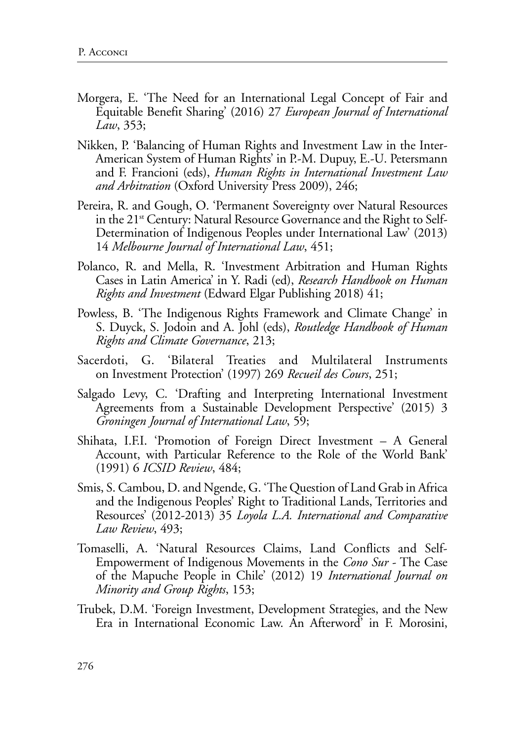- Morgera, E. 'The Need for an International Legal Concept of Fair and Equitable Benefit Sharing' (2016) 27 *European Journal of International Law*, 353;
- Nikken, P. 'Balancing of Human Rights and Investment Law in the Inter-American System of Human Rights' in P.-M. Dupuy, E.-U. Petersmann and F. Francioni (eds), *Human Rights in International Investment Law and Arbitration* (Oxford University Press 2009), 246;
- Pereira, R. and Gough, O. 'Permanent Sovereignty over Natural Resources in the  $21<sup>st</sup>$  Century: Natural Resource Governance and the Right to Self-Determination of Indigenous Peoples under International Law' (2013) 14 *Melbourne Journal of International Law*, 451;
- Polanco, R. and Mella, R. 'Investment Arbitration and Human Rights Cases in Latin America' in Y. Radi (ed), *[Research Handbook on Human](https://www.elgaronline.com/view/edcoll/9781782549116/9781782549116.xml)  [Rights and Investment](https://www.elgaronline.com/view/edcoll/9781782549116/9781782549116.xml)* (Edward Elgar Publishing 2018) 41;
- Powless, B. 'The Indigenous Rights Framework and Climate Change' in S. Duyck, S. Jodoin and A. Johl (eds), *Routledge Handbook of Human Rights and Climate Governance*, 213;
- Sacerdoti, G. 'Bilateral Treaties and Multilateral Instruments on Investment Protection' (1997) 269 *Recueil des Cours*, 251;
- Salgado Levy, C. 'Drafting and Interpreting International Investment Agreements from a Sustainable Development Perspective' (2015) 3 *Groningen Journal of International Law*, 59;
- Shihata, I.F.I. 'Promotion of Foreign Direct Investment A General Account, with Particular Reference to the Role of the World Bank' (1991) 6 *ICSID Review*, 484;
- Smis, S. Cambou, D. and Ngende, G. 'The Question of Land Grab in Africa and the Indigenous Peoples' Right to Traditional Lands, Territories and Resources' (2012-2013) 35 *Loyola L.A. International and Comparative Law Review*, 493;
- Tomaselli, A. 'Natural Resources Claims, Land Conflicts and Self-Empowerment of Indigenous Movements in the *Cono Sur* - The Case of the Mapuche People in Chile' (2012) 19 *International Journal on Minority and Group Rights*, 153;
- Trubek, D.M. 'Foreign Investment, Development Strategies, and the New Era in International Economic Law. An Afterword' in F. Morosini,